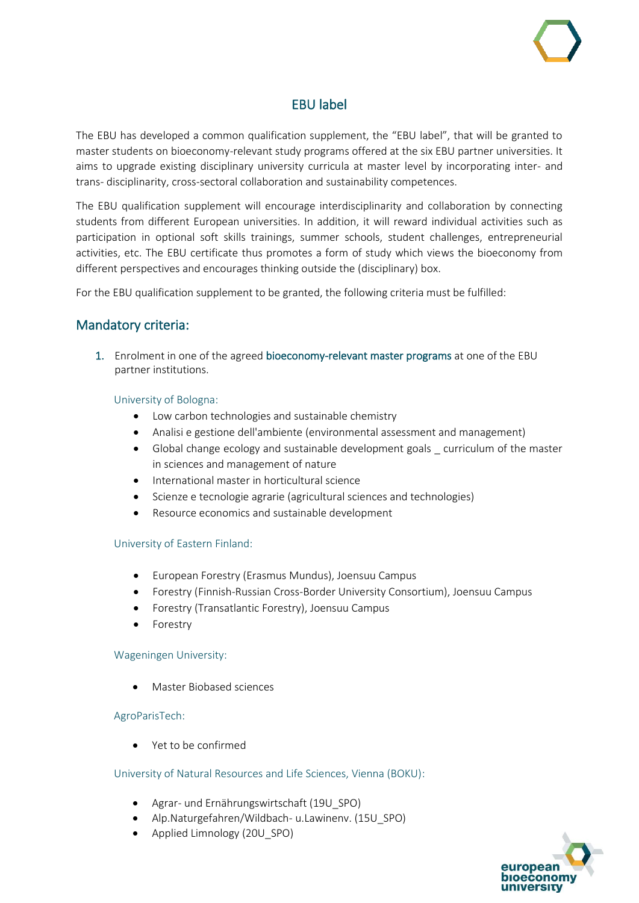# EBU label

The EBU has developed a common qualification supplement, the "EBU label", that will be granted to master students on bioeconomy-relevant study programs offered at the six EBU partner universities. It aims to upgrade existing disciplinary university curricula at master level by incorporating inter- and trans- disciplinarity, cross-sectoral collaboration and sustainability competences.

The EBU qualification supplement will encourage interdisciplinarity and collaboration by connecting students from different European universities. In addition, it will reward individual activities such as participation in optional soft skills trainings, summer schools, student challenges, entrepreneurial activities, etc. The EBU certificate thus promotes a form of study which views the bioeconomy from different perspectives and encourages thinking outside the (disciplinary) box.

For the EBU qualification supplement to be granted, the following criteria must be fulfilled:

# Mandatory criteria:

1. Enrolment in one of the agreed bioeconomy-relevant master programs at one of the EBU partner institutions.

## University of Bologna:

- Low carbon technologies and sustainable chemistry
- Analisi e gestione dell'ambiente (environmental assessment and management)
- Global change ecology and sustainable development goals \_ curriculum of the master in sciences and management of nature
- International master in horticultural science
- Scienze e tecnologie agrarie (agricultural sciences and technologies)
- Resource economics and sustainable development

### University of Eastern Finland:

- European Forestry (Erasmus Mundus), Joensuu Campus
- Forestry (Finnish-Russian Cross-Border University Consortium), Joensuu Campus
- Forestry (Transatlantic Forestry), Joensuu Campus
- **Forestry**

### Wageningen University:

• Master Biobased sciences

### AgroParisTech:

• Yet to be confirmed

### University of Natural Resources and Life Sciences, Vienna (BOKU):

- Agrar- und Ernährungswirtschaft (19U\_SPO)
- Alp.Naturgefahren/Wildbach- u.Lawinenv. (15U\_SPO)
- Applied Limnology (20U\_SPO)

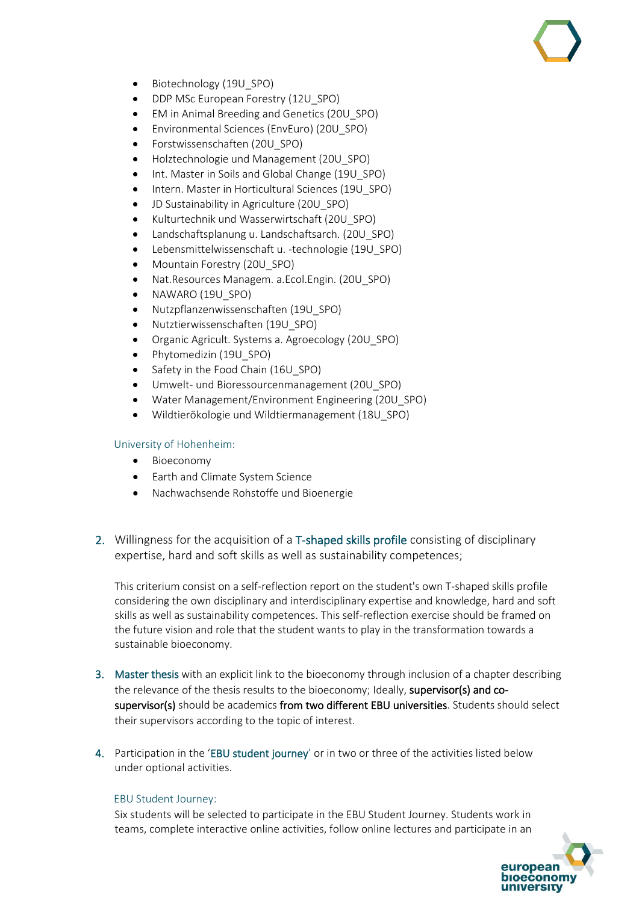- Biotechnology (19U SPO)
- DDP MSc European Forestry (12U\_SPO)
- EM in Animal Breeding and Genetics (20U\_SPO)
- Environmental Sciences (EnvEuro) (20U\_SPO)
- Forstwissenschaften (20U\_SPO)
- Holztechnologie und Management (20U\_SPO)
- Int. Master in Soils and Global Change (19U\_SPO)
- Intern. Master in Horticultural Sciences (19U\_SPO)
- JD Sustainability in Agriculture (20U\_SPO)
- Kulturtechnik und Wasserwirtschaft (20U\_SPO)
- Landschaftsplanung u. Landschaftsarch. (20U\_SPO)
- Lebensmittelwissenschaft u. -technologie (19U\_SPO)
- Mountain Forestry (20U\_SPO)
- Nat. Resources Managem. a. Ecol. Engin. (20U SPO)
- NAWARO (19U\_SPO)
- Nutzpflanzenwissenschaften (19U\_SPO)
- Nutztierwissenschaften (19U\_SPO)
- Organic Agricult. Systems a. Agroecology (20U\_SPO)
- Phytomedizin (19U\_SPO)
- Safety in the Food Chain (16U\_SPO)
- Umwelt- und Bioressourcenmanagement (20U\_SPO)
- Water Management/Environment Engineering (20U\_SPO)
- Wildtierökologie und Wildtiermanagement (18U\_SPO)

## University of Hohenheim:

- Bioeconomy
- Earth and Climate System Science
- Nachwachsende Rohstoffe und Bioenergie
- 2. Willingness for the acquisition of a T-shaped skills profile consisting of disciplinary expertise, hard and soft skills as well as sustainability competences;

This criterium consist on a self-reflection report on the student's own T-shaped skills profile considering the own disciplinary and interdisciplinary expertise and knowledge, hard and soft skills as well as sustainability competences. This self-reflection exercise should be framed on the future vision and role that the student wants to play in the transformation towards a sustainable bioeconomy.

- 3. Master thesis with an explicit link to the bioeconomy through inclusion of a chapter describing the relevance of the thesis results to the bioeconomy; Ideally, supervisor(s) and cosupervisor(s) should be academics from two different EBU universities. Students should select their supervisors according to the topic of interest.
- 4. Participation in the 'EBU student journey' or in two or three of the activities listed below under optional activities.

## EBU Student Journey:

Six students will be selected to participate in the EBU Student Journey. Students work in teams, complete interactive online activities, follow online lectures and participate in an